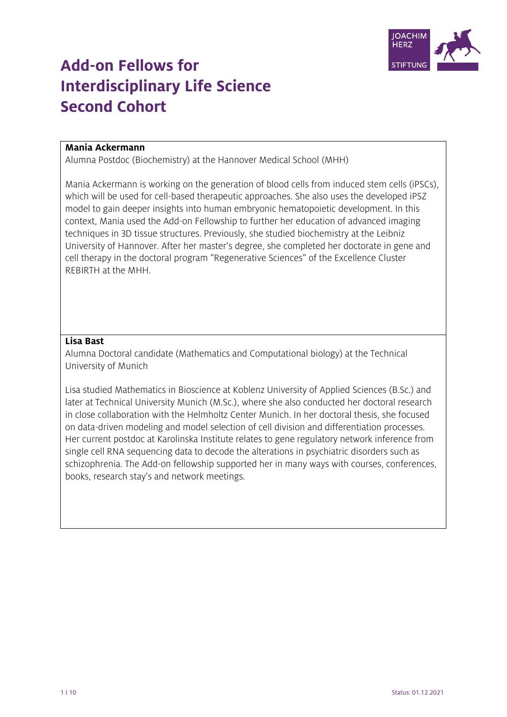

# **Add-on Fellows for Interdisciplinary Life Science Second Cohort**

### **Mania Ackermann**

Alumna Postdoc (Biochemistry) at the Hannover Medical School (MHH)

Mania Ackermann is working on the generation of blood cells from induced stem cells (iPSCs), which will be used for cell-based therapeutic approaches. She also uses the developed iPSZ model to gain deeper insights into human embryonic hematopoietic development. In this context, Mania used the Add-on Fellowship to further her education of advanced imaging techniques in 3D tissue structures. Previously, she studied biochemistry at the Leibniz University of Hannover. After her master's degree, she completed her doctorate in gene and cell therapy in the doctoral program "Regenerative Sciences" of the Excellence Cluster REBIRTH at the MHH.

#### **Lisa Bast**

Alumna Doctoral candidate (Mathematics and Computational biology) at the Technical University of Munich

Lisa studied Mathematics in Bioscience at Koblenz University of Applied Sciences (B.Sc.) and later at Technical University Munich (M.Sc.), where she also conducted her doctoral research in close collaboration with the Helmholtz Center Munich. In her doctoral thesis, she focused on data-driven modeling and model selection of cell division and differentiation processes. Her current postdoc at Karolinska Institute relates to gene regulatory network inference from single cell RNA sequencing data to decode the alterations in psychiatric disorders such as schizophrenia. The Add-on fellowship supported her in many ways with courses, conferences, books, research stay's and network meetings.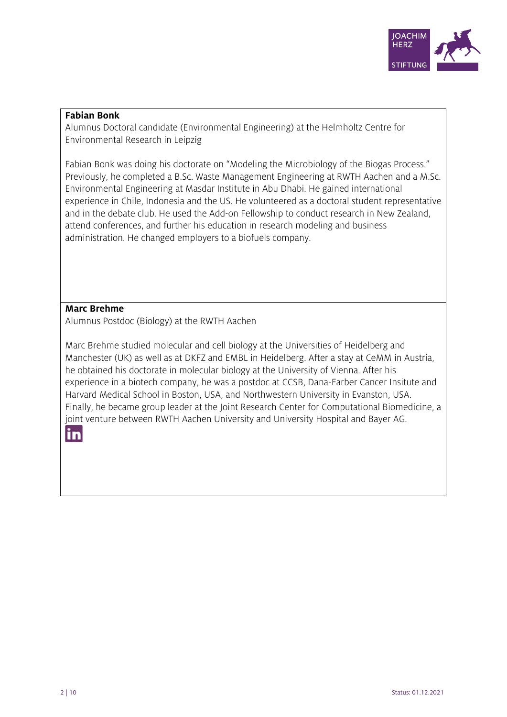

#### **Fabian Bonk**

Alumnus Doctoral candidate (Environmental Engineering) at the Helmholtz Centre for Environmental Research in Leipzig

Fabian Bonk was doing his doctorate on "Modeling the Microbiology of the Biogas Process." Previously, he completed a B.Sc. Waste Management Engineering at RWTH Aachen and a M.Sc. Environmental Engineering at Masdar Institute in Abu Dhabi. He gained international experience in Chile, Indonesia and the US. He volunteered as a doctoral student representative and in the debate club. He used the Add-on Fellowship to conduct research in New Zealand, attend conferences, and further his education in research modeling and business administration. He changed employers to a biofuels company.

#### **Marc Brehme**

Alumnus Postdoc (Biology) at the RWTH Aachen

Marc Brehme studied molecular and cell biology at the Universities of Heidelberg and Manchester (UK) as well as at DKFZ and EMBL in Heidelberg. After a stay at CeMM in Austria, he obtained his doctorate in molecular biology at the University of Vienna. After his experience in a biotech company, he was a postdoc at CCSB, Dana-Farber Cancer Insitute and Harvard Medical School in Boston, USA, and Northwestern University in Evanston, USA. Finally, he became group leader at the Joint Research Center for Computational Biomedicine, a joint venture between RWTH Aachen University and University Hospital and Bayer AG.

# in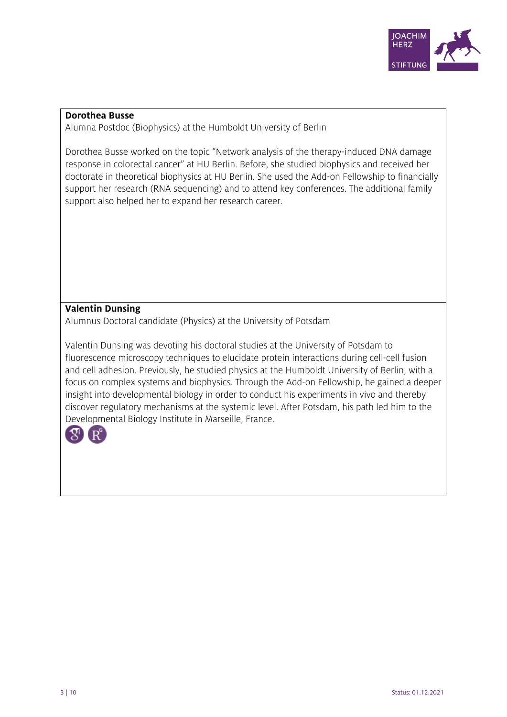

#### **Dorothea Busse**

Alumna Postdoc (Biophysics) at the Humboldt University of Berlin

Dorothea Busse worked on the topic "Network analysis of the therapy-induced DNA damage response in colorectal cancer" at HU Berlin. Before, she studied biophysics and received her doctorate in theoretical biophysics at HU Berlin. She used the Add-on Fellowship to financially support her research (RNA sequencing) and to attend key conferences. The additional family support also helped her to expand her research career.

# **Valentin Dunsing**

Alumnus Doctoral candidate (Physics) at the University of Potsdam

Valentin Dunsing was devoting his doctoral studies at the University of Potsdam to fluorescence microscopy techniques to elucidate protein interactions during cell-cell fusion and cell adhesion. Previously, he studied physics at the Humboldt University of Berlin, with a focus on complex systems and biophysics. Through the Add-on Fellowship, he gained a deeper insight into developmental biology in order to conduct his experiments in vivo and thereby discover regulatory mechanisms at the systemic level. After Potsdam, his path led him to the Developmental Biology Institute in Marseille, France.

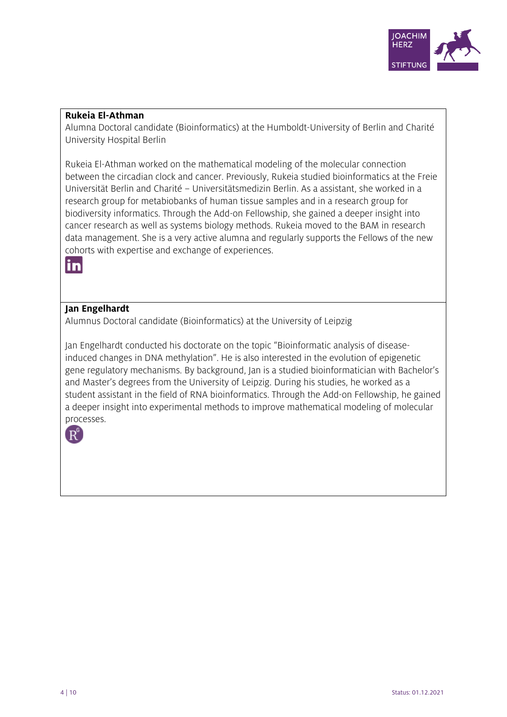

#### **Rukeia El-Athman**

Alumna Doctoral candidate (Bioinformatics) at the Humboldt-University of Berlin and Charité University Hospital Berlin

Rukeia El-Athman worked on the mathematical modeling of the molecular connection between the circadian clock and cancer. Previously, Rukeia studied bioinformatics at the Freie Universität Berlin and Charité – Universitätsmedizin Berlin. As a assistant, she worked in a research group for metabiobanks of human tissue samples and in a research group for biodiversity informatics. Through the Add-on Fellowship, she gained a deeper insight into cancer research as well as systems biology methods. Rukeia moved to the BAM in research data management. She is a very active alumna and regularly supports the Fellows of the new cohorts with expertise and exchange of experiences.



# **Jan Engelhardt**

Alumnus Doctoral candidate (Bioinformatics) at the University of Leipzig

Jan Engelhardt conducted his doctorate on the topic "Bioinformatic analysis of diseaseinduced changes in DNA methylation". He is also interested in the evolution of epigenetic gene regulatory mechanisms. By background, Jan is a studied bioinformatician with Bachelor's and Master's degrees from the University of Leipzig. During his studies, he worked as a student assistant in the field of RNA bioinformatics. Through the Add-on Fellowship, he gained a deeper insight into experimental methods to improve mathematical modeling of molecular processes.

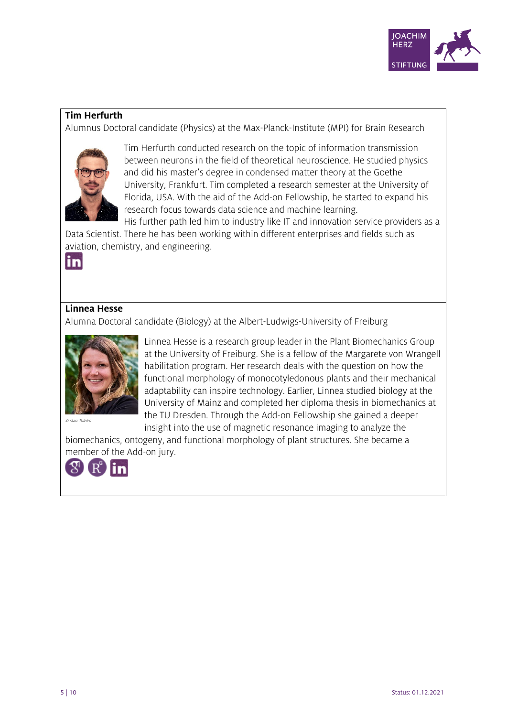

#### **Tim Herfurth**

Alumnus Doctoral candidate (Physics) at the Max-Planck-Institute (MPI) for Brain Research



Tim Herfurth conducted research on the topic of information transmission between neurons in the field of theoretical neuroscience. He studied physics and did his master's degree in condensed matter theory at the Goethe University, Frankfurt. Tim completed a research semester at the University of Florida, USA. With the aid of the Add-on Fellowship, he started to expand his research focus towards data science and machine learning.

His further path led him to industry like IT and innovation service providers as a Data Scientist. There he has been working within different enterprises and fields such as aviation, chemistry, and engineering.



# **Linnea Hesse**

Alumna Doctoral candidate (Biology) at the Albert-Ludwigs-University of Freiburg



Linnea Hesse is a research group leader in the Plant Biomechanics Group at the University of Freiburg. She is a fellow of the Margarete von Wrangell habilitation program. Her research deals with the question on how the functional morphology of monocotyledonous plants and their mechanical adaptability can inspire technology. Earlier, Linnea studied biology at the University of Mainz and completed her diploma thesis in biomechanics at the TU Dresden. Through the Add-on Fellowship she gained a deeper insight into the use of magnetic resonance imaging to analyze the

biomechanics, ontogeny, and functional morphology of plant structures. She became a member of the Add-on jury.



© Marc Thielen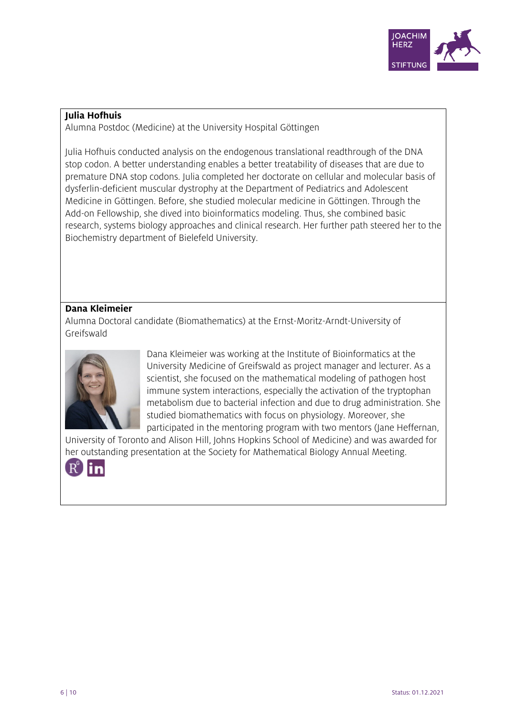

#### **Julia Hofhuis**

Alumna Postdoc (Medicine) at the University Hospital Göttingen

Julia Hofhuis conducted analysis on the endogenous translational readthrough of the DNA stop codon. A better understanding enables a better treatability of diseases that are due to premature DNA stop codons. Julia completed her doctorate on cellular and molecular basis of dysferlin-deficient muscular dystrophy at the Department of Pediatrics and Adolescent Medicine in Göttingen. Before, she studied molecular medicine in Göttingen. Through the Add-on Fellowship, she dived into bioinformatics modeling. Thus, she combined basic research, systems biology approaches and clinical research. Her further path steered her to the Biochemistry department of Bielefeld University.

# **Dana Kleimeier**

Alumna Doctoral candidate (Biomathematics) at the Ernst-Moritz-Arndt-University of Greifswald



Dana Kleimeier was working at the Institute of Bioinformatics at the University Medicine of Greifswald as project manager and lecturer. As a scientist, she focused on the mathematical modeling of pathogen host immune system interactions, especially the activation of the tryptophan metabolism due to bacterial infection and due to drug administration. She studied biomathematics with focus on physiology. Moreover, she participated in the mentoring program with two mentors (Jane Heffernan,

University of Toronto and Alison Hill, Johns Hopkins School of Medicine) and was awarded for her outstanding presentation at the Society for Mathematical Biology Annual Meeting.

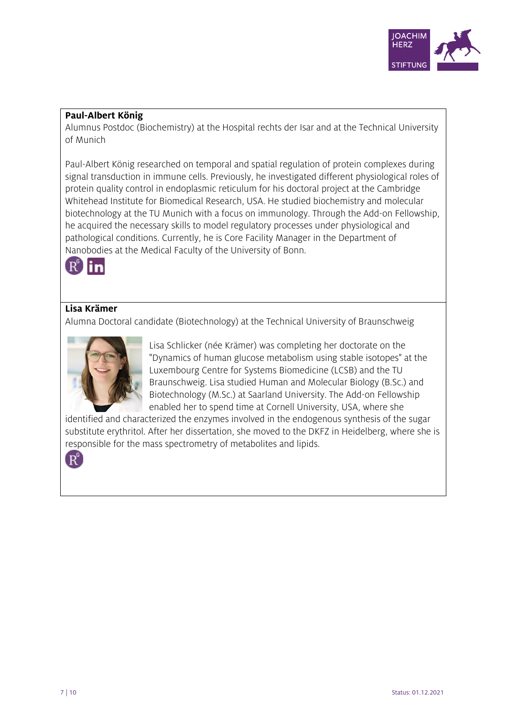

#### **Paul-Albert König**

Alumnus Postdoc (Biochemistry) at the Hospital rechts der Isar and at the Technical University of Munich

Paul-Albert König researched on temporal and spatial regulation of protein complexes during signal transduction in immune cells. Previously, he investigated different physiological roles of protein quality control in endoplasmic reticulum for his doctoral project at the Cambridge Whitehead Institute for Biomedical Research, USA. He studied biochemistry and molecular biotechnology at the TU Munich with a focus on immunology. Through the Add-on Fellowship, he acquired the necessary skills to model regulatory processes under physiological and pathological conditions. Currently, he is Core Facility Manager in the Department of Nanobodies at the Medical Faculty of the University of Bonn.



# **Lisa Krämer**

Alumna Doctoral candidate (Biotechnology) at the Technical University of Braunschweig



Lisa Schlicker (née Krämer) was completing her doctorate on the "Dynamics of human glucose metabolism using stable isotopes" at the Luxembourg Centre for Systems Biomedicine (LCSB) and the TU Braunschweig. Lisa studied Human and Molecular Biology (B.Sc.) and Biotechnology (M.Sc.) at Saarland University. The Add-on Fellowship enabled her to spend time at Cornell University, USA, where she

identified and characterized the enzymes involved in the endogenous synthesis of the sugar substitute erythritol. After her dissertation, she moved to the DKFZ in Heidelberg, where she is responsible for the mass spectrometry of metabolites and lipids.

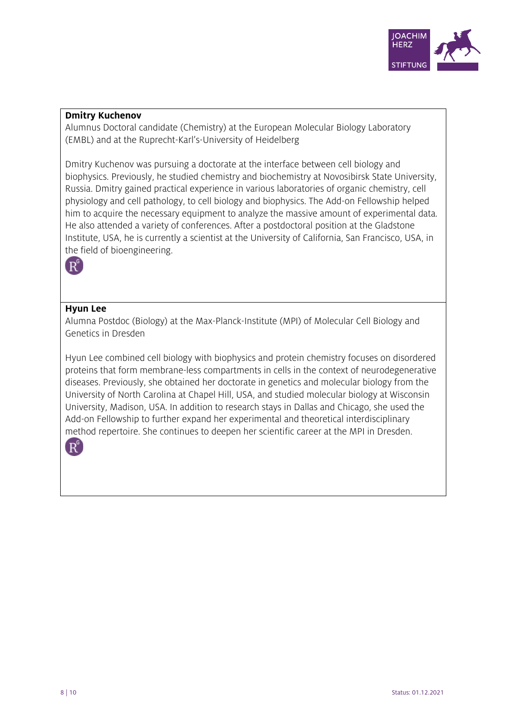

#### **Dmitry Kuchenov**

Alumnus Doctoral candidate (Chemistry) at the European Molecular Biology Laboratory (EMBL) and at the Ruprecht-Karl's-University of Heidelberg

Dmitry Kuchenov was pursuing a doctorate at the interface between cell biology and biophysics. Previously, he studied chemistry and biochemistry at Novosibirsk State University, Russia. Dmitry gained practical experience in various laboratories of organic chemistry, cell physiology and cell pathology, to cell biology and biophysics. The Add-on Fellowship helped him to acquire the necessary equipment to analyze the massive amount of experimental data. He also attended a variety of conferences. After a postdoctoral position at the Gladstone Institute, USA, he is currently a scientist at the University of California, San Francisco, USA, in the field of bioengineering.



#### **Hyun Lee**

Alumna Postdoc (Biology) at the Max-Planck-Institute (MPI) of Molecular Cell Biology and Genetics in Dresden

Hyun Lee combined cell biology with biophysics and protein chemistry focuses on disordered proteins that form membrane-less compartments in cells in the context of neurodegenerative diseases. Previously, she obtained her doctorate in genetics and molecular biology from the University of North Carolina at Chapel Hill, USA, and studied molecular biology at Wisconsin University, Madison, USA. In addition to research stays in Dallas and Chicago, she used the Add-on Fellowship to further expand her experimental and theoretical interdisciplinary method repertoire. She continues to deepen her scientific career at the MPI in Dresden.

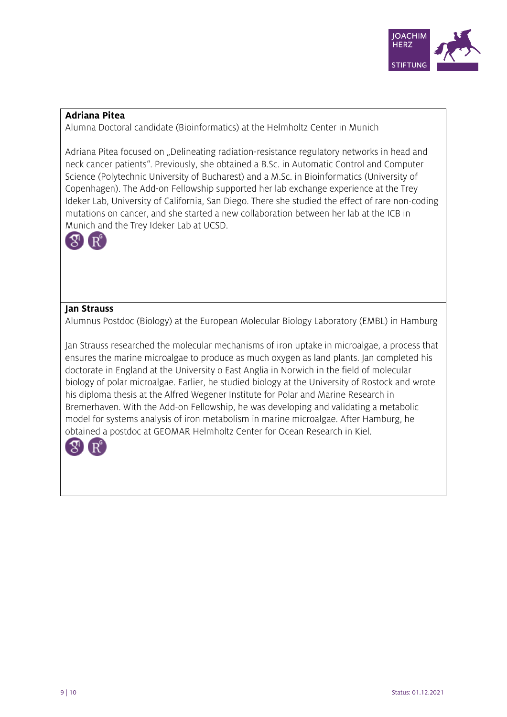

#### **Adriana Pitea**

Alumna Doctoral candidate (Bioinformatics) at the Helmholtz Center in Munich

Adriana Pitea focused on "Delineating radiation-resistance regulatory networks in head and neck cancer patients". Previously, she obtained a B.Sc. in Automatic Control and Computer Science (Polytechnic University of Bucharest) and a M.Sc. in Bioinformatics (University of Copenhagen). The Add-on Fellowship supported her lab exchange experience at the Trey Ideker Lab, University of California, San Diego. There she studied the effect of rare non-coding mutations on cancer, and she started a new collaboration between her lab at the ICB in Munich and the Trey Ideker Lab at UCSD.



# **Jan Strauss**

Alumnus Postdoc (Biology) at the European Molecular Biology Laboratory (EMBL) in Hamburg

Jan Strauss researched the molecular mechanisms of iron uptake in microalgae, a process that ensures the marine microalgae to produce as much oxygen as land plants. Jan completed his doctorate in England at the University o East Anglia in Norwich in the field of molecular biology of polar microalgae. Earlier, he studied biology at the University of Rostock and wrote his diploma thesis at the Alfred Wegener Institute for Polar and Marine Research in Bremerhaven. With the Add-on Fellowship, he was developing and validating a metabolic model for systems analysis of iron metabolism in marine microalgae. After Hamburg, he obtained a postdoc at GEOMAR Helmholtz Center for Ocean Research in Kiel.